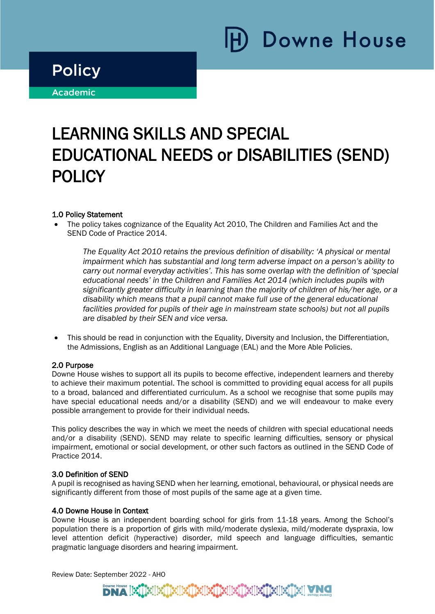# Downe House

### **Policy**

i

**Academic** Ī

## LEARNING SKILLS AND SPECIAL EDUCATIONAL NEEDS or DISABILITIES (SEND) POLICY

#### 1.0 Policy Statement

• The policy takes cognizance of the Equality Act 2010, The Children and Families Act and the SEND Code of Practice 2014.

*The Equality Act 2010 retains the previous definition of disability: 'A physical or mental impairment which has substantial and long term adverse impact on a person's ability to carry out normal everyday activities'. This has some overlap with the definition of 'special educational needs' in the Children and Families Act 2014 (which includes pupils with significantly greater difficulty in learning than the majority of children of his/her age, or a disability which means that a pupil cannot make full use of the general educational facilities provided for pupils of their age in mainstream state schools) but not all pupils are disabled by their SEN and vice versa.* 

• This should be read in conjunction with the Equality, Diversity and Inclusion, the Differentiation, the Admissions, English as an Additional Language (EAL) and the More Able Policies.

#### 2.0 Purpose

Downe House wishes to support all its pupils to become effective, independent learners and thereby to achieve their maximum potential. The school is committed to providing equal access for all pupils to a broad, balanced and differentiated curriculum. As a school we recognise that some pupils may have special educational needs and/or a disability (SEND) and we will endeavour to make every possible arrangement to provide for their individual needs.

This policy describes the way in which we meet the needs of children with special educational needs and/or a disability (SEND). SEND may relate to specific learning difficulties, sensory or physical impairment, emotional or social development, or other such factors as outlined in the SEND Code of Practice 2014.

#### 3.0 Definition of SEND

A pupil is recognised as having SEND when her learning, emotional, behavioural, or physical needs are significantly different from those of most pupils of the same age at a given time.

#### 4.0 Downe House in Context

Downe House is an independent boarding school for girls from 11-18 years. Among the School's population there is a proportion of girls with mild/moderate dyslexia, mild/moderate dyspraxia, low level attention deficit (hyperactive) disorder, mild speech and language difficulties, semantic pragmatic language disorders and hearing impairment.

Review Date: September 2022 - AHO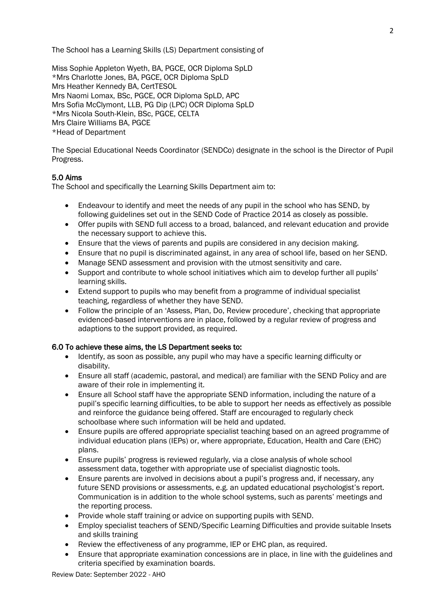The School has a Learning Skills (LS) Department consisting of

Miss Sophie Appleton Wyeth, BA, PGCE, OCR Diploma SpLD \*Mrs Charlotte Jones, BA, PGCE, OCR Diploma SpLD Mrs Heather Kennedy BA, CertTESOL Mrs Naomi Lomax, BSc, PGCE, OCR Diploma SpLD, APC Mrs Sofia McClymont, LLB, PG Dip (LPC) OCR Diploma SpLD \*Mrs Nicola South-Klein, BSc, PGCE, CELTA Mrs Claire Williams BA, PGCE \*Head of Department

The Special Educational Needs Coordinator (SENDCo) designate in the school is the Director of Pupil Progress.

#### 5.0 Aims

The School and specifically the Learning Skills Department aim to:

- Endeavour to identify and meet the needs of any pupil in the school who has SEND, by following guidelines set out in the SEND Code of Practice 2014 as closely as possible.
- Offer pupils with SEND full access to a broad, balanced, and relevant education and provide the necessary support to achieve this.
- Ensure that the views of parents and pupils are considered in any decision making.
- Ensure that no pupil is discriminated against, in any area of school life, based on her SEND.
- Manage SEND assessment and provision with the utmost sensitivity and care.
- Support and contribute to whole school initiatives which aim to develop further all pupils' learning skills.
- Extend support to pupils who may benefit from a programme of individual specialist teaching, regardless of whether they have SEND.
- Follow the principle of an 'Assess, Plan, Do, Review procedure', checking that appropriate evidenced-based interventions are in place, followed by a regular review of progress and adaptions to the support provided, as required.

#### 6.0 To achieve these aims, the LS Department seeks to:

- Identify, as soon as possible, any pupil who may have a specific learning difficulty or disability.
- Ensure all staff (academic, pastoral, and medical) are familiar with the SEND Policy and are aware of their role in implementing it.
- Ensure all School staff have the appropriate SEND information, including the nature of a pupil's specific learning difficulties, to be able to support her needs as effectively as possible and reinforce the guidance being offered. Staff are encouraged to regularly check schoolbase where such information will be held and updated.
- Ensure pupils are offered appropriate specialist teaching based on an agreed programme of individual education plans (IEPs) or, where appropriate, Education, Health and Care (EHC) plans.
- Ensure pupils' progress is reviewed regularly, via a close analysis of whole school assessment data, together with appropriate use of specialist diagnostic tools.
- Ensure parents are involved in decisions about a pupil's progress and, if necessary, any future SEND provisions or assessments, e.g. an updated educational psychologist's report. Communication is in addition to the whole school systems, such as parents' meetings and the reporting process.
- Provide whole staff training or advice on supporting pupils with SEND.
- Employ specialist teachers of SEND/Specific Learning Difficulties and provide suitable Insets and skills training
- Review the effectiveness of any programme, IEP or EHC plan, as required.
- Ensure that appropriate examination concessions are in place, in line with the guidelines and criteria specified by examination boards.

Review Date: September 2022 - AHO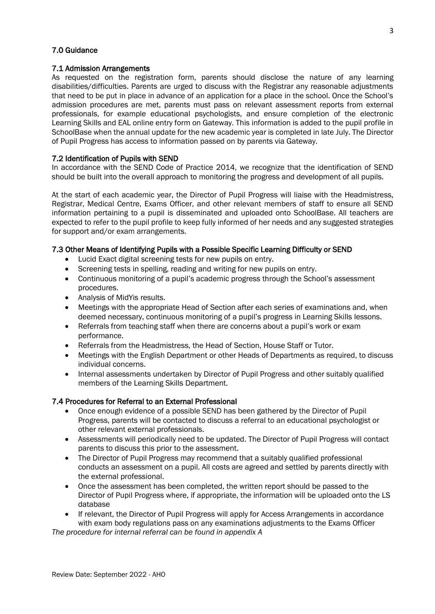#### 7.0 Guidance

#### 7.1 Admission Arrangements

As requested on the registration form, parents should disclose the nature of any learning disabilities/difficulties. Parents are urged to discuss with the Registrar any reasonable adjustments that need to be put in place in advance of an application for a place in the school. Once the School's admission procedures are met, parents must pass on relevant assessment reports from external professionals, for example educational psychologists, and ensure completion of the electronic Learning Skills and EAL online entry form on Gateway. This information is added to the pupil profile in SchoolBase when the annual update for the new academic year is completed in late July. The Director of Pupil Progress has access to information passed on by parents via Gateway.

#### 7.2 Identification of Pupils with SEND

In accordance with the SEND Code of Practice 2014, we recognize that the identification of SEND should be built into the overall approach to monitoring the progress and development of all pupils.

At the start of each academic year, the Director of Pupil Progress will liaise with the Headmistress, Registrar, Medical Centre, Exams Officer, and other relevant members of staff to ensure all SEND information pertaining to a pupil is disseminated and uploaded onto SchoolBase. All teachers are expected to refer to the pupil profile to keep fully informed of her needs and any suggested strategies for support and/or exam arrangements.

#### 7.3 Other Means of Identifying Pupils with a Possible Specific Learning Difficulty or SEND

- Lucid Exact digital screening tests for new pupils on entry.
- Screening tests in spelling, reading and writing for new pupils on entry.
- Continuous monitoring of a pupil's academic progress through the School's assessment procedures.
- Analysis of MidYis results.
- Meetings with the appropriate Head of Section after each series of examinations and, when deemed necessary, continuous monitoring of a pupil's progress in Learning Skills lessons.
- Referrals from teaching staff when there are concerns about a pupil's work or exam performance.
- Referrals from the Headmistress, the Head of Section, House Staff or Tutor.
- Meetings with the English Department or other Heads of Departments as required, to discuss individual concerns.
- Internal assessments undertaken by Director of Pupil Progress and other suitably qualified members of the Learning Skills Department.

#### 7.4 Procedures for Referral to an External Professional

- Once enough evidence of a possible SEND has been gathered by the Director of Pupil Progress, parents will be contacted to discuss a referral to an educational psychologist or other relevant external professionals.
- Assessments will periodically need to be updated. The Director of Pupil Progress will contact parents to discuss this prior to the assessment.
- The Director of Pupil Progress may recommend that a suitably qualified professional conducts an assessment on a pupil. All costs are agreed and settled by parents directly with the external professional.
- Once the assessment has been completed, the written report should be passed to the Director of Pupil Progress where, if appropriate, the information will be uploaded onto the LS database
- If relevant, the Director of Pupil Progress will apply for Access Arrangements in accordance with exam body regulations pass on any examinations adjustments to the Exams Officer

*The procedure for internal referral can be found in appendix A*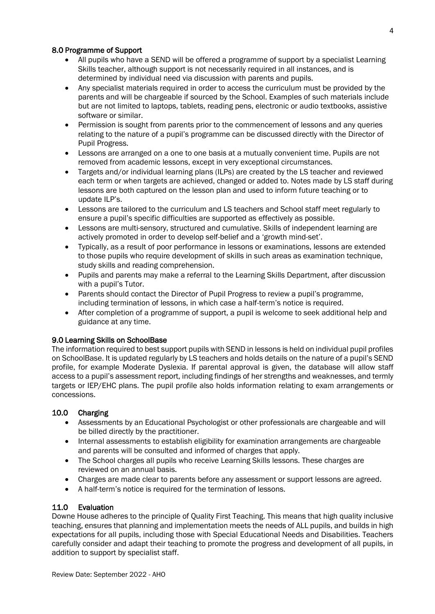#### 8.0 Programme of Support

- All pupils who have a SEND will be offered a programme of support by a specialist Learning Skills teacher, although support is not necessarily required in all instances, and is determined by individual need via discussion with parents and pupils.
- Any specialist materials required in order to access the curriculum must be provided by the parents and will be chargeable if sourced by the School. Examples of such materials include but are not limited to laptops, tablets, reading pens, electronic or audio textbooks, assistive software or similar.
- Permission is sought from parents prior to the commencement of lessons and any queries relating to the nature of a pupil's programme can be discussed directly with the Director of Pupil Progress.
- Lessons are arranged on a one to one basis at a mutually convenient time. Pupils are not removed from academic lessons, except in very exceptional circumstances.
- Targets and/or individual learning plans (ILPs) are created by the LS teacher and reviewed each term or when targets are achieved, changed or added to. Notes made by LS staff during lessons are both captured on the lesson plan and used to inform future teaching or to update ILP's.
- Lessons are tailored to the curriculum and LS teachers and School staff meet regularly to ensure a pupil's specific difficulties are supported as effectively as possible.
- Lessons are multi-sensory, structured and cumulative. Skills of independent learning are actively promoted in order to develop self-belief and a 'growth mind-set'.
- Typically, as a result of poor performance in lessons or examinations, lessons are extended to those pupils who require development of skills in such areas as examination technique, study skills and reading comprehension.
- Pupils and parents may make a referral to the Learning Skills Department, after discussion with a pupil's Tutor.
- Parents should contact the Director of Pupil Progress to review a pupil's programme, including termination of lessons, in which case a half-term's notice is required.
- After completion of a programme of support, a pupil is welcome to seek additional help and guidance at any time.

#### 9.0 Learning Skills on SchoolBase

The information required to best support pupils with SEND in lessons is held on individual pupil profiles on SchoolBase. It is updated regularly by LS teachers and holds details on the nature of a pupil's SEND profile, for example Moderate Dyslexia. If parental approval is given, the database will allow staff access to a pupil's assessment report, including findings of her strengths and weaknesses, and termly targets or IEP/EHC plans. The pupil profile also holds information relating to exam arrangements or concessions.

#### 10.0 Charging

- Assessments by an Educational Psychologist or other professionals are chargeable and will be billed directly by the practitioner.
- Internal assessments to establish eligibility for examination arrangements are chargeable and parents will be consulted and informed of charges that apply.
- The School charges all pupils who receive Learning Skills lessons. These charges are reviewed on an annual basis.
- Charges are made clear to parents before any assessment or support lessons are agreed.
- A half-term's notice is required for the termination of lessons.

#### 11.0 Evaluation

Downe House adheres to the principle of Quality First Teaching. This means that high quality inclusive teaching, ensures that planning and implementation meets the needs of ALL pupils, and builds in high expectations for all pupils, including those with Special Educational Needs and Disabilities. Teachers carefully consider and adapt their teaching to promote the progress and development of all pupils, in addition to support by specialist staff.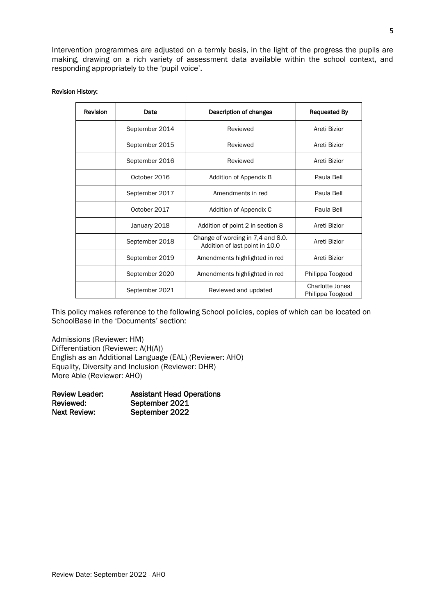Intervention programmes are adjusted on a termly basis, in the light of the progress the pupils are making, drawing on a rich variety of assessment data available within the school context, and responding appropriately to the 'pupil voice'.

#### Revision History:

| Revision | Date           | Description of changes                                              | Requested By                               |
|----------|----------------|---------------------------------------------------------------------|--------------------------------------------|
|          | September 2014 | Reviewed                                                            | Areti Bizior                               |
|          | September 2015 | Reviewed                                                            | Areti Bizior                               |
|          | September 2016 | Reviewed                                                            | Areti Bizior                               |
|          | October 2016   | Addition of Appendix B                                              | Paula Bell                                 |
|          | September 2017 | Amendments in red                                                   | Paula Bell                                 |
|          | October 2017   | Addition of Appendix C                                              | Paula Bell                                 |
|          | January 2018   | Addition of point 2 in section 8                                    | Areti Bizior                               |
|          | September 2018 | Change of wording in 7,4 and 8.0.<br>Addition of last point in 10.0 | Areti Bizior                               |
|          | September 2019 | Amendments highlighted in red                                       | Areti Bizior                               |
|          | September 2020 | Amendments highlighted in red                                       | Philippa Toogood                           |
|          | September 2021 | Reviewed and updated                                                | <b>Charlotte Jones</b><br>Philippa Toogood |

This policy makes reference to the following School policies, copies of which can be located on SchoolBase in the 'Documents' section:

Admissions (Reviewer: HM) Differentiation (Reviewer: A(H(A)) English as an Additional Language (EAL) (Reviewer: AHO) Equality, Diversity and Inclusion (Reviewer: DHR) More Able (Reviewer: AHO)

| <b>Review Leader:</b> | <b>Assistant Head Operations</b> |
|-----------------------|----------------------------------|
| Reviewed:             | September 2021                   |
| Next Review:          | September 2022                   |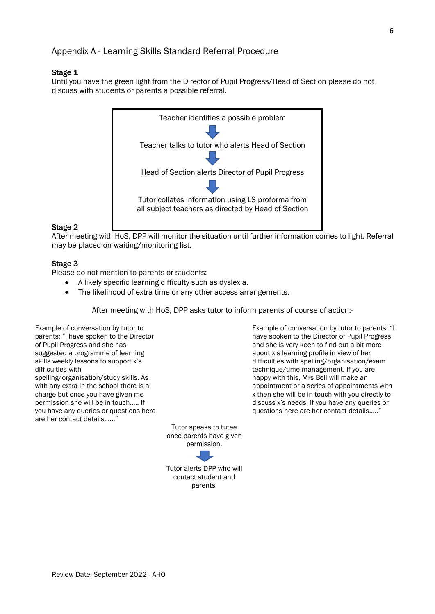### Appendix A - Learning Skills Standard Referral Procedure

#### Stage 1

Until you have the green light from the Director of Pupil Progress/Head of Section please do not discuss with students or parents a possible referral.



#### Stage 2

After meeting with HoS, DPP will monitor the situation until further information comes to light. Referral may be placed on waiting/monitoring list.

#### Stage 3

Please do not mention to parents or students:

- A likely specific learning difficulty such as dyslexia.
- The likelihood of extra time or any other access arrangements.

After meeting with HoS, DPP asks tutor to inform parents of course of action:-

Example of conversation by tutor to parents: "I have spoken to the Director of Pupil Progress and she has suggested a programme of learning skills weekly lessons to support x's difficulties with spelling/organisation/study skills. As with any extra in the school there is a charge but once you have given me permission she will be in touch….. If you have any queries or questions here are her contact details……"

Example of conversation by tutor to parents: "I have spoken to the Director of Pupil Progress and she is very keen to find out a bit more about x's learning profile in view of her difficulties with spelling/organisation/exam technique/time management. If you are happy with this, Mrs Bell will make an appointment or a series of appointments with x then she will be in touch with you directly to discuss x's needs. If you have any queries or questions here are her contact details….."

Tutor speaks to tutee once parents have given permission.

Tutor alerts DPP who will contact student and parents.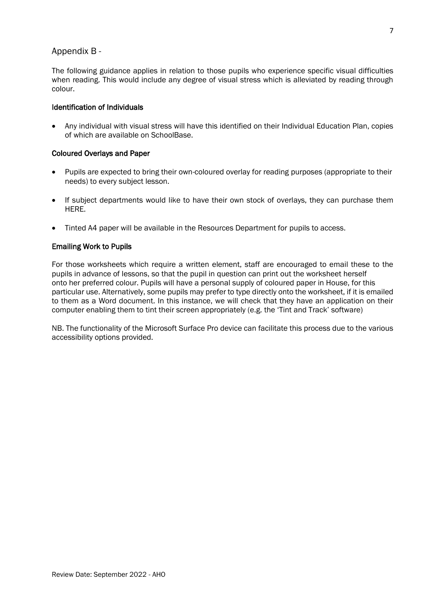#### Appendix B -

The following guidance applies in relation to those pupils who experience specific visual difficulties when reading. This would include any degree of visual stress which is alleviated by reading through colour.

#### Identification of Individuals

• Any individual with visual stress will have this identified on their Individual Education Plan, copies of which are available on SchoolBase.

#### Coloured Overlays and Paper

- Pupils are expected to bring their own-coloured overlay for reading purposes (appropriate to their needs) to every subject lesson.
- If subject departments would like to have their own stock of overlays, they can purchase them HERE.
- Tinted A4 paper will be available in the Resources Department for pupils to access.

#### Emailing Work to Pupils

For those worksheets which require a written element, staff are encouraged to email these to the pupils in advance of lessons, so that the pupil in question can print out the worksheet herself onto her preferred colour. Pupils will have a personal supply of coloured paper in House, for this particular use. Alternatively, some pupils may prefer to type directly onto the worksheet, if it is emailed to them as a Word document. In this instance, we will check that they have an application on their computer enabling them to tint their screen appropriately (e.g. the 'Tint and Track' software)

NB. The functionality of the Microsoft Surface Pro device can facilitate this process due to the various accessibility options provided.